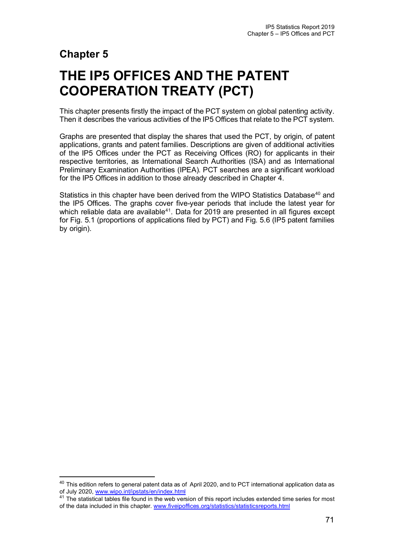# **Chapter 5**

# **THE IP5 OFFICES AND THE PATENT COOPERATION TREATY (PCT)**

This chapter presents firstly the impact of the PCT system on global patenting activity. Then it describes the various activities of the IP5 Offices that relate to the PCT system.

Graphs are presented that display the shares that used the PCT, by origin, of patent applications, grants and patent families. Descriptions are given of additional activities of the IP5 Offices under the PCT as Receiving Offices (RO) for applicants in their respective territories, as International Search Authorities (ISA) and as International Preliminary Examination Authorities (IPEA). PCT searches are a significant workload for the IP5 Offices in addition to those already described in Chapter 4.

Statistics in this chapter have been derived from the WIPO Statistics Database<sup>[40](#page-0-0)</sup> and the IP5 Offices. The graphs cover five-year periods that include the latest year for which reliable data are available<sup>[41](#page-0-1)</sup>. Data for 2019 are presented in all figures except for Fig. 5.1 (proportions of applications filed by PCT) and Fig. 5.6 (IP5 patent families by origin).

<span id="page-0-0"></span><sup>&</sup>lt;sup>40</sup> This edition refers to general patent data as of April 2020, and to PCT international application data as of July 2020[, www.wipo.int/ipstats/en/index.html](http://www.wipo.int/ipstats/en/index.html)

<span id="page-0-1"></span><sup>&</sup>lt;sup>41</sup> The statistical tables file found in the web version of this report includes extended time series for most of the data included in this chapter. [www.fiveipoffices.org/statistics/statisticsreports.html](http://www.fiveipoffices.org/statistics/statisticsreports.html)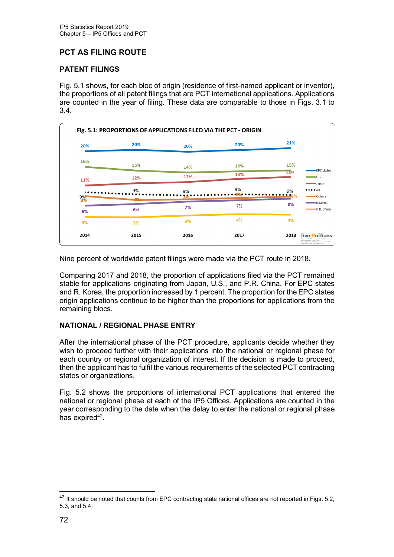## **PCT AS FILING ROUTE**

#### **PATENT FILINGS**

Fig. 5.1 shows, for each bloc of origin (residence of first-named applicant or inventor), the proportions of all patent filings that are PCT international applications. Applications are counted in the year of filing. These data are comparable to those in Figs. 3.1 to 3.4.

| 20%                     | 20%         | 20%      | 20%  | 21%                                                                                                              |
|-------------------------|-------------|----------|------|------------------------------------------------------------------------------------------------------------------|
| 16%                     | 15%         | 14%      | 15%  | 15%                                                                                                              |
| 11%                     | 12%         | 12%      | 13%  | <b>EPC</b> states<br>13%<br>U.S.<br>Japan                                                                        |
|                         | 9%          | 9%<br>8% | 9%   | $\bullet \bullet \bullet \bullet$ All<br>9%<br>8%<br><b>Others</b>                                               |
| $\frac{9\%}{8\%}$<br>6% | $-10$<br>6% | 7%       | 7%   | $\blacksquare$ R.Korea<br>8%<br>P.R. China                                                                       |
| 3%                      | 3%          | 3%       | 4%   | 4%                                                                                                               |
| 2014                    | 2015        | 2016     | 2017 | fivelPoffices<br>2018<br>European Patent Office IIT Issue Putert Effice<br>Ennean Intellectual Presenty Office & |

Nine percent of worldwide patent filings were made via the PCT route in 2018.

Comparing 2017 and 2018, the proportion of applications filed via the PCT remained stable for applications originating from Japan, U.S., and P.R. China. For EPC states and R. Korea, the proportion increased by 1 percent. The proportion for the EPC states origin applications continue to be higher than the proportions for applications from the remaining blocs.

#### **NATIONAL / REGIONAL PHASE ENTRY**

After the international phase of the PCT procedure, applicants decide whether they wish to proceed further with their applications into the national or regional phase for each country or regional organization of interest. If the decision is made to proceed, then the applicant has to fulfil the various requirements of the selected PCT contracting states or organizations.

Fig. 5.2 shows the proportions of international PCT applications that entered the national or regional phase at each of the IP5 Offices. Applications are counted in the year corresponding to the date when the delay to enter the national or regional phase has expired $42$ .

<span id="page-1-0"></span><sup>&</sup>lt;sup>42</sup> It should be noted that counts from EPC contracting state national offices are not reported in Figs. 5.2, 5.3, and 5.4.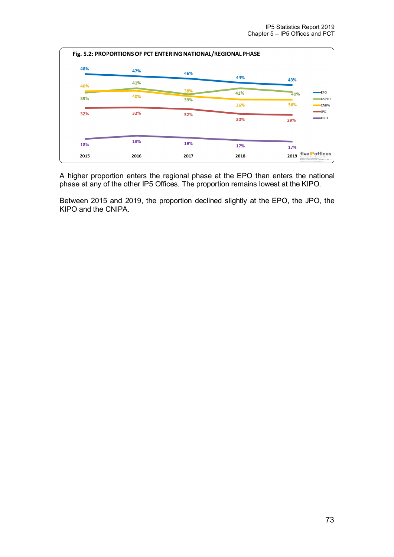

A higher proportion enters the regional phase at the EPO than enters the national phase at any of the other IP5 Offices. The proportion remains lowest at the KIPO.

Between 2015 and 2019, the proportion declined slightly at the EPO, the JPO, the KIPO and the CNIPA.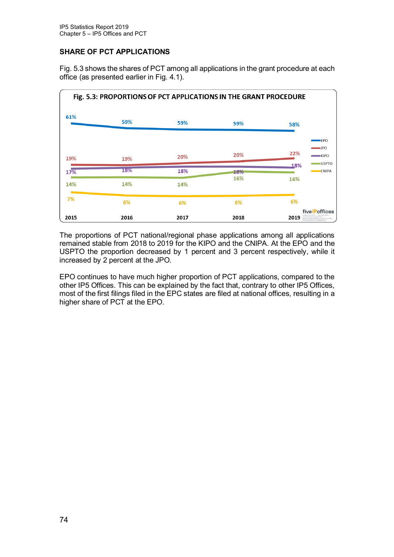#### **SHARE OF PCT APPLICATIONS**

Fig. 5.3 shows the shares of PCT among all applications in the grant procedure at each office (as presented earlier in Fig. 4.1).



The proportions of PCT national/regional phase applications among all applications remained stable from 2018 to 2019 for the KIPO and the CNIPA. At the EPO and the USPTO the proportion decreased by 1 percent and 3 percent respectively, while it increased by 2 percent at the JPO.

EPO continues to have much higher proportion of PCT applications, compared to the other IP5 Offices. This can be explained by the fact that, contrary to other IP5 Offices, most of the first filings filed in the EPC states are filed at national offices, resulting in a higher share of PCT at the EPO.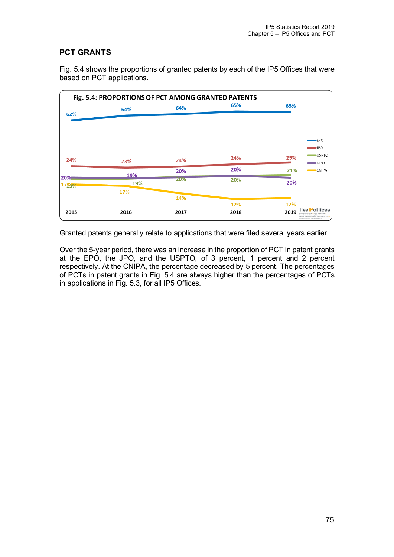# **PCT GRANTS**

Fig. 5.4 shows the proportions of granted patents by each of the IP5 Offices that were based on PCT applications.

| Fig. 5.4: PROPORTIONS OF PCT AMONG GRANTED PATENTS |      |            |      |                                                                                                                                                                  |  |  |  |  |
|----------------------------------------------------|------|------------|------|------------------------------------------------------------------------------------------------------------------------------------------------------------------|--|--|--|--|
|                                                    | 64%  | 64%        | 65%  | 65%                                                                                                                                                              |  |  |  |  |
| 62%                                                |      |            |      |                                                                                                                                                                  |  |  |  |  |
|                                                    |      |            |      |                                                                                                                                                                  |  |  |  |  |
|                                                    |      |            |      | EPO                                                                                                                                                              |  |  |  |  |
|                                                    |      |            |      | $\blacksquare$ JPO<br><b>USPTO</b>                                                                                                                               |  |  |  |  |
| 24%                                                | 23%  | 24%        | 24%  | 25%<br>KIPO                                                                                                                                                      |  |  |  |  |
|                                                    | 19%  | 20%        | 20%  | 21%<br><b>CNIPA</b>                                                                                                                                              |  |  |  |  |
| 20%<br>17 <sub>19%</sub>                           | 19%  | <b>ZU%</b> | 20%  | 20%                                                                                                                                                              |  |  |  |  |
|                                                    | 17%  |            |      |                                                                                                                                                                  |  |  |  |  |
|                                                    |      | 14%        | 12%  | 12%                                                                                                                                                              |  |  |  |  |
| 2015                                               | 2016 | 2017       | 2018 | fivelPoffices<br>2019<br>Korean Intellectual Property Office<br>National Intellectual Property Administration, PRC.<br>United States Patent and Trademack Office |  |  |  |  |

Granted patents generally relate to applications that were filed several years earlier.

Over the 5-year period, there was an increase in the proportion of PCT in patent grants at the EPO, the JPO, and the USPTO, of 3 percent, 1 percent and 2 percent respectively. At the CNIPA, the percentage decreased by 5 percent. The percentages of PCTs in patent grants in Fig. 5.4 are always higher than the percentages of PCTs in applications in Fig. 5.3, for all IP5 Offices.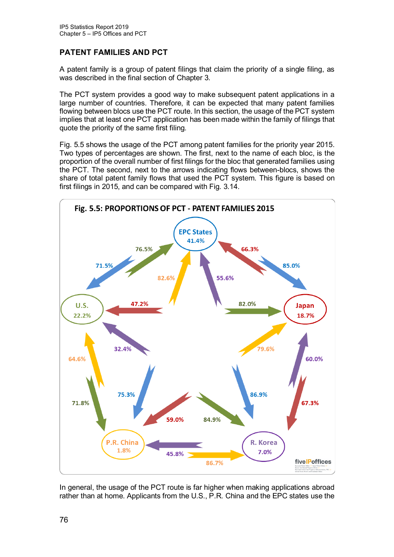### **PATENT FAMILIES AND PCT**

A patent family is a group of patent filings that claim the priority of a single filing, as was described in the final section of Chapter 3.

The PCT system provides a good way to make subsequent patent applications in a large number of countries. Therefore, it can be expected that many patent families flowing between blocs use the PCT route. In this section, the usage of the PCT system implies that at least one PCT application has been made within the family of filings that quote the priority of the same first filing.

Fig. 5.5 shows the usage of the PCT among patent families for the priority year 2015. Two types of percentages are shown. The first, next to the name of each bloc, is the proportion of the overall number of first filings for the bloc that generated families using the PCT. The second, next to the arrows indicating flows between-blocs, shows the share of total patent family flows that used the PCT system. This figure is based on first filings in 2015, and can be compared with Fig. 3.14.



In general, the usage of the PCT route is far higher when making applications abroad rather than at home. Applicants from the U.S., P.R. China and the EPC states use the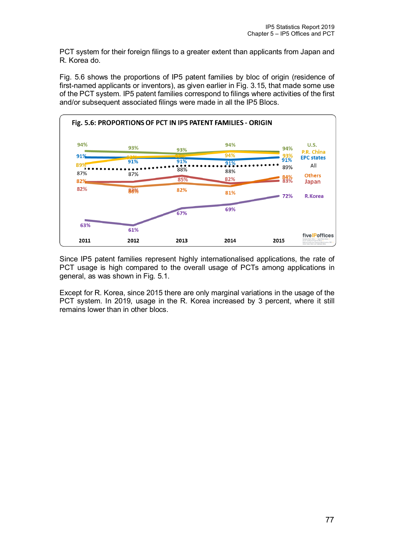PCT system for their foreign filings to a greater extent than applicants from Japan and R. Korea do.

Fig. 5.6 shows the proportions of IP5 patent families by bloc of origin (residence of first-named applicants or inventors), as given earlier in Fig. 3.15, that made some use of the PCT system. IP5 patent families correspond to filings where activities of the first and/or subsequent associated filings were made in all the IP5 Blocs.



Since IP5 patent families represent highly internationalised applications, the rate of PCT usage is high compared to the overall usage of PCTs among applications in general, as was shown in Fig. 5.1.

Except for R. Korea, since 2015 there are only marginal variations in the usage of the PCT system. In 2019, usage in the R. Korea increased by 3 percent, where it still remains lower than in other blocs.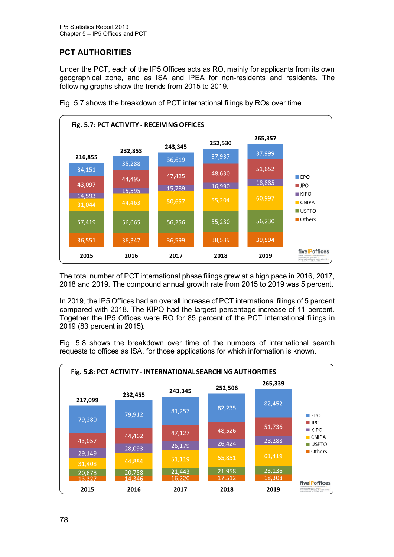# **PCT AUTHORITIES**

Under the PCT, each of the IP5 Offices acts as RO, mainly for applicants from its own geographical zone, and as ISA and IPEA for non-residents and residents. The following graphs show the trends from 2015 to 2019.



Fig. 5.7 shows the breakdown of PCT international filings by ROs over time.

The total number of PCT international phase filings grew at a high pace in 2016, 2017, 2018 and 2019. The compound annual growth rate from 2015 to 2019 was 5 percent.

In 2019, the IP5 Offices had an overall increase of PCT international filings of 5 percent compared with 2018. The KIPO had the largest percentage increase of 11 percent. Together the IP5 Offices were RO for 85 percent of the PCT international filings in 2019 (83 percent in 2015).

Fig. 5.8 shows the breakdown over time of the numbers of international search requests to offices as ISA, for those applications for which information is known.